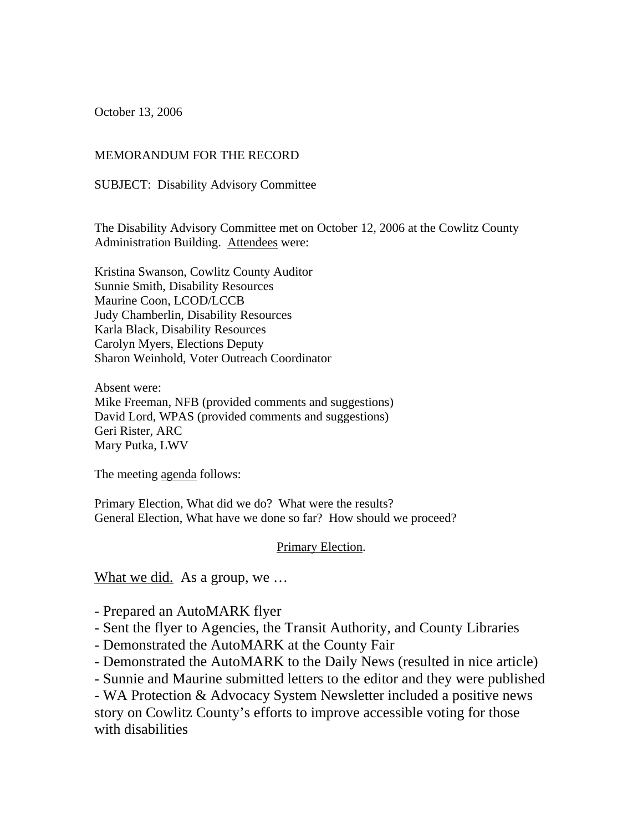October 13, 2006

#### MEMORANDUM FOR THE RECORD

SUBJECT: Disability Advisory Committee

The Disability Advisory Committee met on October 12, 2006 at the Cowlitz County Administration Building. Attendees were:

Kristina Swanson, Cowlitz County Auditor Sunnie Smith, Disability Resources Maurine Coon, LCOD/LCCB Judy Chamberlin, Disability Resources Karla Black, Disability Resources Carolyn Myers, Elections Deputy Sharon Weinhold, Voter Outreach Coordinator

Absent were: Mike Freeman, NFB (provided comments and suggestions) David Lord, WPAS (provided comments and suggestions) Geri Rister, ARC Mary Putka, LWV

The meeting agenda follows:

Primary Election, What did we do? What were the results? General Election, What have we done so far? How should we proceed?

#### Primary Election.

What we did. As a group, we ...

- Prepared an AutoMARK flyer

- Sent the flyer to Agencies, the Transit Authority, and County Libraries
- Demonstrated the AutoMARK at the County Fair
- Demonstrated the AutoMARK to the Daily News (resulted in nice article)
- Sunnie and Maurine submitted letters to the editor and they were published

- WA Protection & Advocacy System Newsletter included a positive news story on Cowlitz County's efforts to improve accessible voting for those with disabilities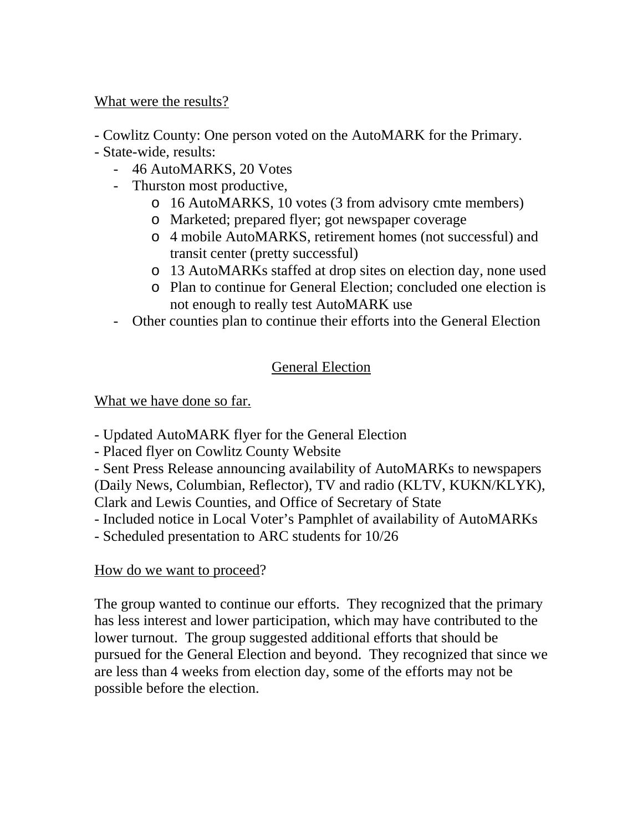### What were the results?

- Cowlitz County: One person voted on the AutoMARK for the Primary.

- State-wide, results:
	- 46 AutoMARKS, 20 Votes
	- Thurston most productive,
		- o 16 AutoMARKS, 10 votes (3 from advisory cmte members)
		- o Marketed; prepared flyer; got newspaper coverage
		- o 4 mobile AutoMARKS, retirement homes (not successful) and transit center (pretty successful)
		- o 13 AutoMARKs staffed at drop sites on election day, none used
		- o Plan to continue for General Election; concluded one election is not enough to really test AutoMARK use
	- Other counties plan to continue their efforts into the General Election

# General Election

# What we have done so far.

- Updated AutoMARK flyer for the General Election

- Placed flyer on Cowlitz County Website

- Sent Press Release announcing availability of AutoMARKs to newspapers (Daily News, Columbian, Reflector), TV and radio (KLTV, KUKN/KLYK),

Clark and Lewis Counties, and Office of Secretary of State

- Included notice in Local Voter's Pamphlet of availability of AutoMARKs

- Scheduled presentation to ARC students for 10/26

## How do we want to proceed?

The group wanted to continue our efforts. They recognized that the primary has less interest and lower participation, which may have contributed to the lower turnout. The group suggested additional efforts that should be pursued for the General Election and beyond. They recognized that since we are less than 4 weeks from election day, some of the efforts may not be possible before the election.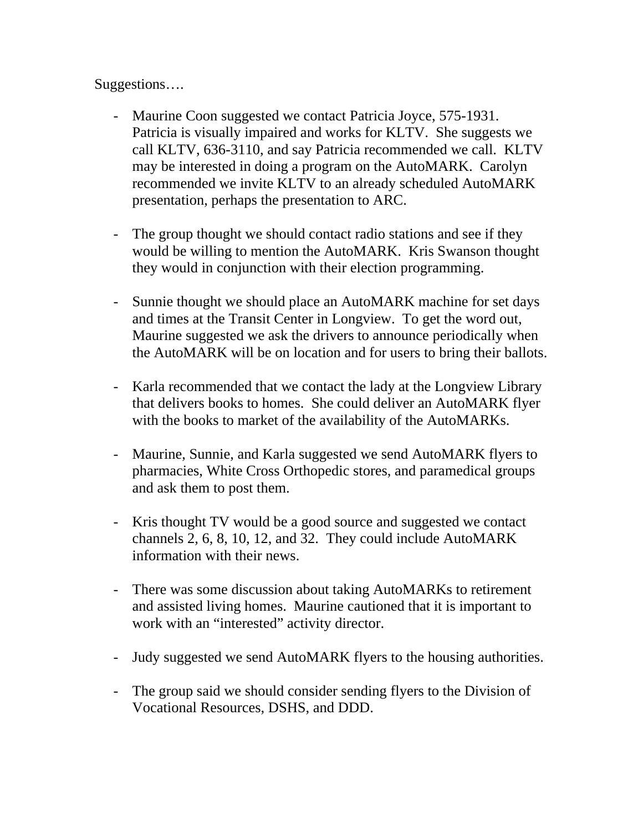### Suggestions….

- Maurine Coon suggested we contact Patricia Joyce, 575-1931. Patricia is visually impaired and works for KLTV. She suggests we call KLTV, 636-3110, and say Patricia recommended we call. KLTV may be interested in doing a program on the AutoMARK. Carolyn recommended we invite KLTV to an already scheduled AutoMARK presentation, perhaps the presentation to ARC.
- The group thought we should contact radio stations and see if they would be willing to mention the AutoMARK. Kris Swanson thought they would in conjunction with their election programming.
- Sunnie thought we should place an AutoMARK machine for set days and times at the Transit Center in Longview. To get the word out, Maurine suggested we ask the drivers to announce periodically when the AutoMARK will be on location and for users to bring their ballots.
- Karla recommended that we contact the lady at the Longview Library that delivers books to homes. She could deliver an AutoMARK flyer with the books to market of the availability of the AutoMARKs.
- Maurine, Sunnie, and Karla suggested we send AutoMARK flyers to pharmacies, White Cross Orthopedic stores, and paramedical groups and ask them to post them.
- Kris thought TV would be a good source and suggested we contact channels 2, 6, 8, 10, 12, and 32. They could include AutoMARK information with their news.
- There was some discussion about taking AutoMARKs to retirement and assisted living homes. Maurine cautioned that it is important to work with an "interested" activity director.
- Judy suggested we send AutoMARK flyers to the housing authorities.
- The group said we should consider sending flyers to the Division of Vocational Resources, DSHS, and DDD.